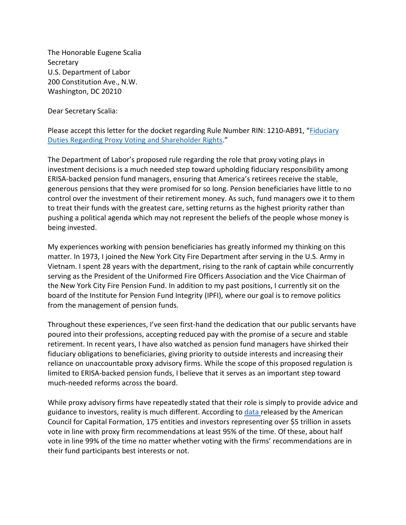The Honorable Eugene Scalia **Secretary** U.S. Department of Labor 200 Constitution Ave., N.W. Washington, DC 20210

Dear Secretary Scalia:

Please accept this letter for the docket regarding Rule Number RIN: 1210-AB91, "[Fiduciary](https://www.federalregister.gov/documents/2020/09/04/2020-19472/fiduciary-duties-regarding-proxy-voting-and-shareholder-rights)  [Duties Regarding Proxy Voting and Shareholder Rights](https://www.federalregister.gov/documents/2020/09/04/2020-19472/fiduciary-duties-regarding-proxy-voting-and-shareholder-rights)."

The Department of Labor's proposed rule regarding the role that proxy voting plays in investment decisions is a much needed step toward upholding fiduciary responsibility among ERISA-backed pension fund managers, ensuring that America's retirees receive the stable, generous pensions that they were promised for so long. Pension beneficiaries have little to no control over the investment of their retirement money. As such, fund managers owe it to them to treat their funds with the greatest care, setting returns as the highest priority rather than pushing a political agenda which may not represent the beliefs of the people whose money is being invested.

My experiences working with pension beneficiaries has greatly informed my thinking on this matter. In 1973, I joined the New York City Fire Department after serving in the U.S. Army in Vietnam. I spent 28 years with the department, rising to the rank of captain while concurrently serving as the President of the Uniformed Fire Officers Association and the Vice Chairman of the New York City Fire Pension Fund. In addition to my past positions, I currently sit on the board of the Institute for Pension Fund Integrity (IPFI), where our goal is to remove politics from the management of pension funds.

Throughout these experiences, I've seen first-hand the dedication that our public servants have poured into their professions, accepting reduced pay with the promise of a secure and stable retirement. In recent years, I have also watched as pension fund managers have shirked their fiduciary obligations to beneficiaries, giving priority to outside interests and increasing their reliance on unaccountable proxy advisory firms. While the scope of this proposed regulation is limited to ERISA-backed pension funds, I believe that it serves as an important step toward much-needed reforms across the board.

While proxy advisory firms have repeatedly stated that their role is simply to provide advice and guidance to investors, reality is much different. According to [data r](https://accfcorpgov.org/wp-content/uploads/ACCF-RoboVoting-Report_11_8_FINAL.pdf)eleased by the American Council for Capital Formation, 175 entities and investors representing over \$5 trillion in assets vote in line with proxy firm recommendations at least 95% of the time. Of these, about half vote in line 99% of the time no matter whether voting with the firms' recommendations are in their fund participants best interests or not.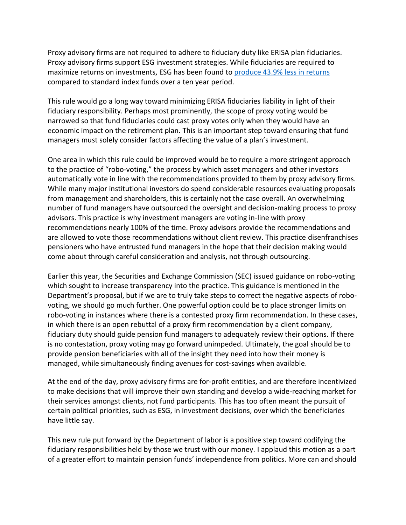Proxy advisory firms are not required to adhere to fiduciary duty like ERISA plan fiduciaries. Proxy advisory firms support ESG investment strategies. While fiduciaries are required to maximize returns on investments, ESG has been found to [produce 43.9%](https://www.pacificresearch.org/wp-content/uploads/2019/05/ESG_Funds_F_web.pdf) less in returns compared to standard index funds over a ten year period.

This rule would go a long way toward minimizing ERISA fiduciaries liability in light of their fiduciary responsibility. Perhaps most prominently, the scope of proxy voting would be narrowed so that fund fiduciaries could cast proxy votes only when they would have an economic impact on the retirement plan. This is an important step toward ensuring that fund managers must solely consider factors affecting the value of a plan's investment.

One area in which this rule could be improved would be to require a more stringent approach to the practice of "robo-voting," the process by which asset managers and other investors automatically vote in line with the recommendations provided to them by proxy advisory firms. While many major institutional investors do spend considerable resources evaluating proposals from management and shareholders, this is certainly not the case overall. An overwhelming number of fund managers have outsourced the oversight and decision-making process to proxy advisors. This practice is why investment managers are voting in-line with proxy recommendations nearly 100% of the time. Proxy advisors provide the recommendations and are allowed to vote those recommendations without client review. This practice disenfranchises pensioners who have entrusted fund managers in the hope that their decision making would come about through careful consideration and analysis, not through outsourcing.

Earlier this year, the Securities and Exchange Commission (SEC) issued guidance on robo-voting which sought to increase transparency into the practice. This guidance is mentioned in the Department's proposal, but if we are to truly take steps to correct the negative aspects of robovoting, we should go much further. One powerful option could be to place stronger limits on robo-voting in instances where there is a contested proxy firm recommendation. In these cases, in which there is an open rebuttal of a proxy firm recommendation by a client company, fiduciary duty should guide pension fund managers to adequately review their options. If there is no contestation, proxy voting may go forward unimpeded. Ultimately, the goal should be to provide pension beneficiaries with all of the insight they need into how their money is managed, while simultaneously finding avenues for cost-savings when available.

At the end of the day, proxy advisory firms are for-profit entities, and are therefore incentivized to make decisions that will improve their own standing and develop a wide-reaching market for their services amongst clients, not fund participants. This has too often meant the pursuit of certain political priorities, such as ESG, in investment decisions, over which the beneficiaries have little say.

This new rule put forward by the Department of labor is a positive step toward codifying the fiduciary responsibilities held by those we trust with our money. I applaud this motion as a part of a greater effort to maintain pension funds' independence from politics. More can and should